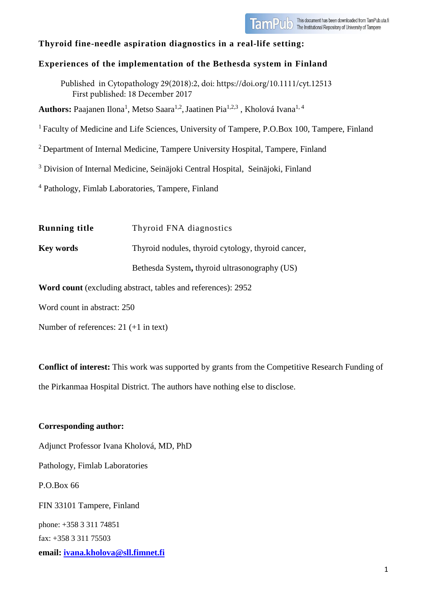

# **Thyroid fine-needle aspiration diagnostics in a real-life setting:**

# **Experiences of the implementation of the Bethesda system in Finland**

Published in Cytopathology 29(2018):2, doi: https://doi.org/10.1111/cyt.12513 First published: 18 December 2017

**Authors:** Paajanen Ilona<sup>1</sup>, Metso Saara<sup>1,2</sup>, Jaatinen Pia<sup>1,2,3</sup> , Kholová Ivana<sup>1, 4</sup>

<sup>1</sup> Faculty of Medicine and Life Sciences, University of Tampere, P.O.Box 100, Tampere, Finland

2 Department of Internal Medicine, Tampere University Hospital, Tampere, Finland

<sup>3</sup> Division of Internal Medicine, Seinäjoki Central Hospital, Seinäjoki, Finland

<sup>4</sup> Pathology, Fimlab Laboratories, Tampere, Finland

**Running title** Thyroid FNA diagnostics **Key words** Thyroid nodules, thyroid cytology, thyroid cancer, Bethesda System**,** thyroid ultrasonography (US)

**Word count** (excluding abstract, tables and references): 2952

Word count in abstract: 250

Number of references: 21 (+1 in text)

**Conflict of interest:** This work was supported by grants from the Competitive Research Funding of the Pirkanmaa Hospital District. The authors have nothing else to disclose.

**Corresponding author:**  Adjunct Professor Ivana Kholová, MD, PhD Pathology, Fimlab Laboratories P.O.Box 66 FIN 33101 Tampere, Finland phone: +358 3 311 74851 fax: +358 3 311 75503 **email: [ivana.kholova@sll.fimnet.fi](mailto:ivana.kholova@sll.fimnet.fi)**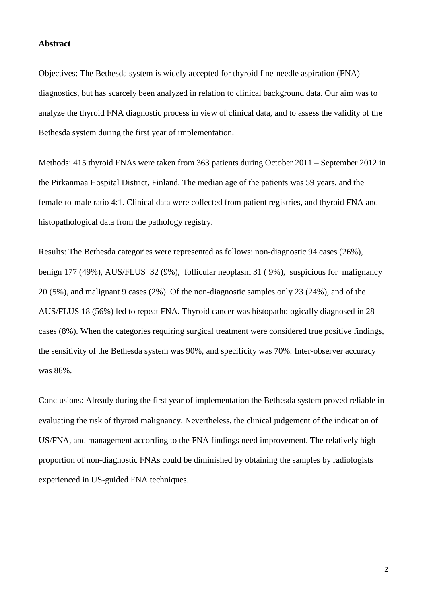### **Abstract**

Objectives: The Bethesda system is widely accepted for thyroid fine-needle aspiration (FNA) diagnostics, but has scarcely been analyzed in relation to clinical background data. Our aim was to analyze the thyroid FNA diagnostic process in view of clinical data, and to assess the validity of the Bethesda system during the first year of implementation.

Methods: 415 thyroid FNAs were taken from 363 patients during October 2011 – September 2012 in the Pirkanmaa Hospital District, Finland. The median age of the patients was 59 years, and the female-to-male ratio 4:1. Clinical data were collected from patient registries, and thyroid FNA and histopathological data from the pathology registry.

Results: The Bethesda categories were represented as follows: non-diagnostic 94 cases (26%), benign 177 (49%), AUS/FLUS 32 (9%), follicular neoplasm 31 ( 9%), suspicious for malignancy 20 (5%), and malignant 9 cases (2%). Of the non-diagnostic samples only 23 (24%), and of the AUS/FLUS 18 (56%) led to repeat FNA. Thyroid cancer was histopathologically diagnosed in 28 cases (8%). When the categories requiring surgical treatment were considered true positive findings, the sensitivity of the Bethesda system was 90%, and specificity was 70%. Inter-observer accuracy was 86%.

Conclusions: Already during the first year of implementation the Bethesda system proved reliable in evaluating the risk of thyroid malignancy. Nevertheless, the clinical judgement of the indication of US/FNA, and management according to the FNA findings need improvement. The relatively high proportion of non-diagnostic FNAs could be diminished by obtaining the samples by radiologists experienced in US-guided FNA techniques.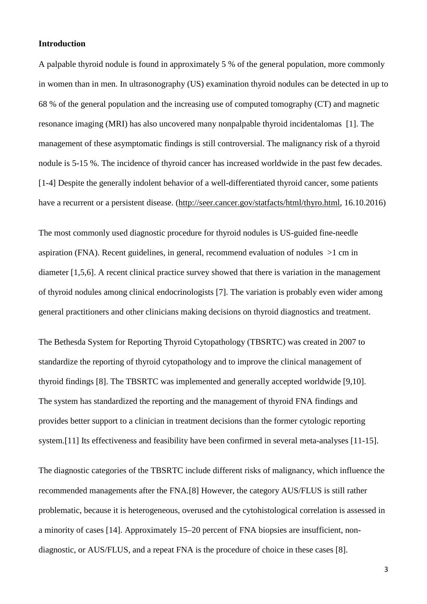### **Introduction**

A palpable thyroid nodule is found in approximately 5 % of the general population, more commonly in women than in men. In ultrasonography (US) examination thyroid nodules can be detected in up to 68 % of the general population and the increasing use of computed tomography (CT) and magnetic resonance imaging (MRI) has also uncovered many nonpalpable thyroid incidentalomas [1]. The management of these asymptomatic findings is still controversial. The malignancy risk of a thyroid nodule is 5-15 %. The incidence of thyroid cancer has increased worldwide in the past few decades. [1-4] Despite the generally indolent behavior of a well-differentiated thyroid cancer, some patients have a recurrent or a persistent disease. [\(http://seer.cancer.gov/statfacts/html/thyro.html,](http://seer.cancer.gov/statfacts/html/thyro.html) 16.10.2016)

The most commonly used diagnostic procedure for thyroid nodules is US-guided fine-needle aspiration (FNA). Recent guidelines, in general, recommend evaluation of nodules >1 cm in diameter [1,5,6]. A recent clinical practice survey showed that there is variation in the management of thyroid nodules among clinical endocrinologists [7]. The variation is probably even wider among general practitioners and other clinicians making decisions on thyroid diagnostics and treatment.

The Bethesda System for Reporting Thyroid Cytopathology (TBSRTC) was created in 2007 to standardize the reporting of thyroid cytopathology and to improve the clinical management of thyroid findings [8]. The TBSRTC was implemented and generally accepted worldwide [9,10]. The system has standardized the reporting and the management of thyroid FNA findings and provides better support to a clinician in treatment decisions than the former cytologic reporting system.<sup>[11]</sup> Its effectiveness and feasibility have been confirmed in several meta-analyses [11-15].

The diagnostic categories of the TBSRTC include different risks of malignancy, which influence the recommended managements after the FNA.[8] However, the category AUS/FLUS is still rather problematic, because it is heterogeneous, overused and the cytohistological correlation is assessed in a minority of cases [14]. Approximately 15–20 percent of FNA biopsies are insufficient, nondiagnostic, or AUS/FLUS, and a repeat FNA is the procedure of choice in these cases [8].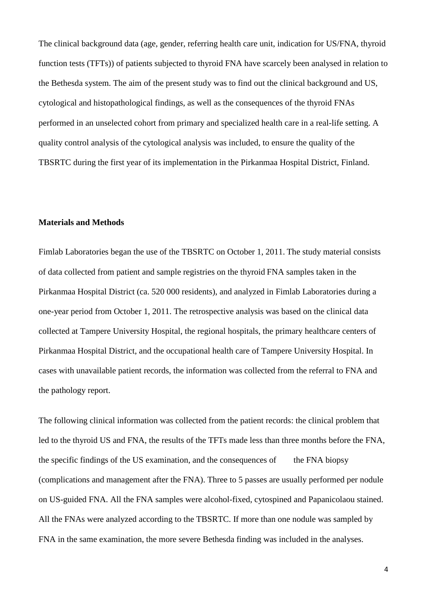The clinical background data (age, gender, referring health care unit, indication for US/FNA, thyroid function tests (TFTs)) of patients subjected to thyroid FNA have scarcely been analysed in relation to the Bethesda system. The aim of the present study was to find out the clinical background and US, cytological and histopathological findings, as well as the consequences of the thyroid FNAs performed in an unselected cohort from primary and specialized health care in a real-life setting. A quality control analysis of the cytological analysis was included, to ensure the quality of the TBSRTC during the first year of its implementation in the Pirkanmaa Hospital District, Finland.

#### **Materials and Methods**

Fimlab Laboratories began the use of the TBSRTC on October 1, 2011. The study material consists of data collected from patient and sample registries on the thyroid FNA samples taken in the Pirkanmaa Hospital District (ca. 520 000 residents), and analyzed in Fimlab Laboratories during a one-year period from October 1, 2011. The retrospective analysis was based on the clinical data collected at Tampere University Hospital, the regional hospitals, the primary healthcare centers of Pirkanmaa Hospital District, and the occupational health care of Tampere University Hospital. In cases with unavailable patient records, the information was collected from the referral to FNA and the pathology report.

The following clinical information was collected from the patient records: the clinical problem that led to the thyroid US and FNA, the results of the TFTs made less than three months before the FNA, the specific findings of the US examination, and the consequences of the FNA biopsy (complications and management after the FNA). Three to 5 passes are usually performed per nodule on US-guided FNA. All the FNA samples were alcohol-fixed, cytospined and Papanicolaou stained. All the FNAs were analyzed according to the TBSRTC. If more than one nodule was sampled by FNA in the same examination, the more severe Bethesda finding was included in the analyses.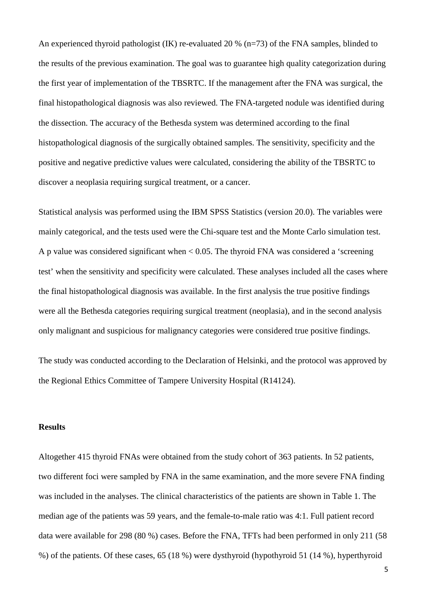An experienced thyroid pathologist (IK) re-evaluated 20 % (n=73) of the FNA samples, blinded to the results of the previous examination. The goal was to guarantee high quality categorization during the first year of implementation of the TBSRTC. If the management after the FNA was surgical, the final histopathological diagnosis was also reviewed. The FNA-targeted nodule was identified during the dissection. The accuracy of the Bethesda system was determined according to the final histopathological diagnosis of the surgically obtained samples. The sensitivity, specificity and the positive and negative predictive values were calculated, considering the ability of the TBSRTC to discover a neoplasia requiring surgical treatment, or a cancer.

Statistical analysis was performed using the IBM SPSS Statistics (version 20.0). The variables were mainly categorical, and the tests used were the Chi-square test and the Monte Carlo simulation test. A p value was considered significant when < 0.05. The thyroid FNA was considered a 'screening test' when the sensitivity and specificity were calculated. These analyses included all the cases where the final histopathological diagnosis was available. In the first analysis the true positive findings were all the Bethesda categories requiring surgical treatment (neoplasia), and in the second analysis only malignant and suspicious for malignancy categories were considered true positive findings.

The study was conducted according to the Declaration of Helsinki, and the protocol was approved by the Regional Ethics Committee of Tampere University Hospital (R14124).

#### **Results**

Altogether 415 thyroid FNAs were obtained from the study cohort of 363 patients. In 52 patients, two different foci were sampled by FNA in the same examination, and the more severe FNA finding was included in the analyses. The clinical characteristics of the patients are shown in Table 1. The median age of the patients was 59 years, and the female-to-male ratio was 4:1. Full patient record data were available for 298 (80 %) cases. Before the FNA, TFTs had been performed in only 211 (58 %) of the patients. Of these cases, 65 (18 %) were dysthyroid (hypothyroid 51 (14 %), hyperthyroid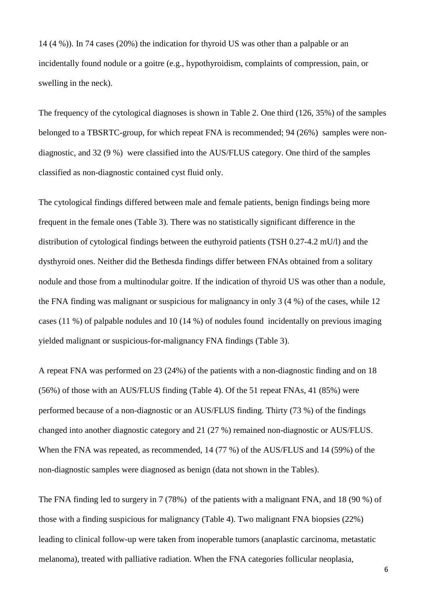14 (4 %)). In 74 cases (20%) the indication for thyroid US was other than a palpable or an incidentally found nodule or a goitre (e.g., hypothyroidism, complaints of compression, pain, or swelling in the neck).

The frequency of the cytological diagnoses is shown in Table 2. One third (126, 35%) of the samples belonged to a TBSRTC-group, for which repeat FNA is recommended; 94 (26%) samples were nondiagnostic, and 32 (9 %) were classified into the AUS/FLUS category. One third of the samples classified as non-diagnostic contained cyst fluid only.

The cytological findings differed between male and female patients, benign findings being more frequent in the female ones (Table 3). There was no statistically significant difference in the distribution of cytological findings between the euthyroid patients (TSH 0.27-4.2 mU/l) and the dysthyroid ones. Neither did the Bethesda findings differ between FNAs obtained from a solitary nodule and those from a multinodular goitre. If the indication of thyroid US was other than a nodule, the FNA finding was malignant or suspicious for malignancy in only 3 (4 %) of the cases, while 12 cases (11 %) of palpable nodules and 10 (14 %) of nodules found incidentally on previous imaging yielded malignant or suspicious-for-malignancy FNA findings (Table 3).

A repeat FNA was performed on 23 (24%) of the patients with a non-diagnostic finding and on 18 (56%) of those with an AUS/FLUS finding (Table 4). Of the 51 repeat FNAs, 41 (85%) were performed because of a non-diagnostic or an AUS/FLUS finding. Thirty (73 %) of the findings changed into another diagnostic category and 21 (27 %) remained non-diagnostic or AUS/FLUS. When the FNA was repeated, as recommended, 14 (77 %) of the AUS/FLUS and 14 (59%) of the non-diagnostic samples were diagnosed as benign (data not shown in the Tables).

The FNA finding led to surgery in 7 (78%) of the patients with a malignant FNA, and 18 (90 %) of those with a finding suspicious for malignancy (Table 4). Two malignant FNA biopsies (22%) leading to clinical follow-up were taken from inoperable tumors (anaplastic carcinoma, metastatic melanoma), treated with palliative radiation. When the FNA categories follicular neoplasia,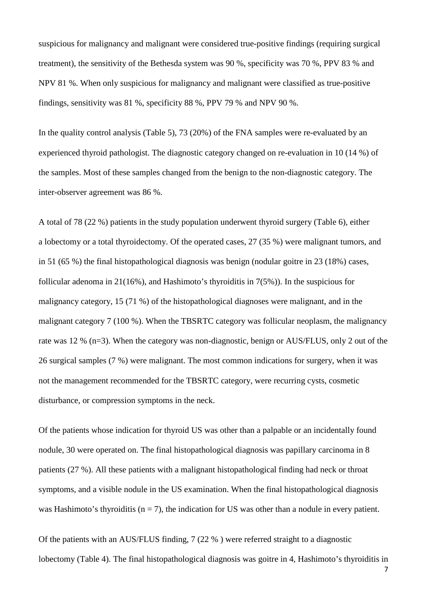suspicious for malignancy and malignant were considered true-positive findings (requiring surgical treatment), the sensitivity of the Bethesda system was 90 %, specificity was 70 %, PPV 83 % and NPV 81 %. When only suspicious for malignancy and malignant were classified as true-positive findings, sensitivity was 81 %, specificity 88 %, PPV 79 % and NPV 90 %.

In the quality control analysis (Table 5), 73 (20%) of the FNA samples were re-evaluated by an experienced thyroid pathologist. The diagnostic category changed on re-evaluation in 10 (14 %) of the samples. Most of these samples changed from the benign to the non-diagnostic category. The inter-observer agreement was 86 %.

A total of 78 (22 %) patients in the study population underwent thyroid surgery (Table 6), either a lobectomy or a total thyroidectomy. Of the operated cases, 27 (35 %) were malignant tumors, and in 51 (65 %) the final histopathological diagnosis was benign (nodular goitre in 23 (18%) cases, follicular adenoma in 21(16%), and Hashimoto's thyroiditis in 7(5%)). In the suspicious for malignancy category, 15 (71 %) of the histopathological diagnoses were malignant, and in the malignant category 7 (100 %). When the TBSRTC category was follicular neoplasm, the malignancy rate was 12 % (n=3). When the category was non-diagnostic, benign or AUS/FLUS, only 2 out of the 26 surgical samples (7 %) were malignant. The most common indications for surgery, when it was not the management recommended for the TBSRTC category, were recurring cysts, cosmetic disturbance, or compression symptoms in the neck.

Of the patients whose indication for thyroid US was other than a palpable or an incidentally found nodule, 30 were operated on. The final histopathological diagnosis was papillary carcinoma in 8 patients (27 %). All these patients with a malignant histopathological finding had neck or throat symptoms, and a visible nodule in the US examination. When the final histopathological diagnosis was Hashimoto's thyroiditis ( $n = 7$ ), the indication for US was other than a nodule in every patient.

Of the patients with an AUS/FLUS finding, 7 (22 % ) were referred straight to a diagnostic lobectomy (Table 4). The final histopathological diagnosis was goitre in 4, Hashimoto's thyroiditis in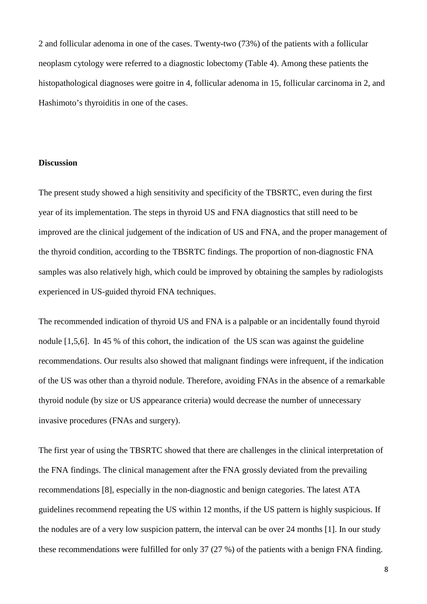2 and follicular adenoma in one of the cases. Twenty-two (73%) of the patients with a follicular neoplasm cytology were referred to a diagnostic lobectomy (Table 4). Among these patients the histopathological diagnoses were goitre in 4, follicular adenoma in 15, follicular carcinoma in 2, and Hashimoto's thyroiditis in one of the cases.

## **Discussion**

The present study showed a high sensitivity and specificity of the TBSRTC, even during the first year of its implementation. The steps in thyroid US and FNA diagnostics that still need to be improved are the clinical judgement of the indication of US and FNA, and the proper management of the thyroid condition, according to the TBSRTC findings. The proportion of non-diagnostic FNA samples was also relatively high, which could be improved by obtaining the samples by radiologists experienced in US-guided thyroid FNA techniques.

The recommended indication of thyroid US and FNA is a palpable or an incidentally found thyroid nodule [1,5,6]. In 45 % of this cohort, the indication of the US scan was against the guideline recommendations. Our results also showed that malignant findings were infrequent, if the indication of the US was other than a thyroid nodule. Therefore, avoiding FNAs in the absence of a remarkable thyroid nodule (by size or US appearance criteria) would decrease the number of unnecessary invasive procedures (FNAs and surgery).

The first year of using the TBSRTC showed that there are challenges in the clinical interpretation of the FNA findings. The clinical management after the FNA grossly deviated from the prevailing recommendations [8], especially in the non-diagnostic and benign categories. The latest ATA guidelines recommend repeating the US within 12 months, if the US pattern is highly suspicious. If the nodules are of a very low suspicion pattern, the interval can be over 24 months [1]. In our study these recommendations were fulfilled for only 37 (27 %) of the patients with a benign FNA finding.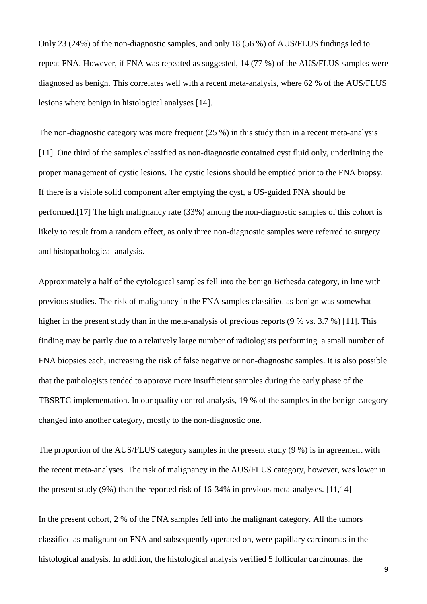Only 23 (24%) of the non-diagnostic samples, and only 18 (56 %) of AUS/FLUS findings led to repeat FNA. However, if FNA was repeated as suggested, 14 (77 %) of the AUS/FLUS samples were diagnosed as benign. This correlates well with a recent meta-analysis, where 62 % of the AUS/FLUS lesions where benign in histological analyses [14].

The non-diagnostic category was more frequent  $(25 \%)$  in this study than in a recent meta-analysis [11]. One third of the samples classified as non-diagnostic contained cyst fluid only, underlining the proper management of cystic lesions. The cystic lesions should be emptied prior to the FNA biopsy. If there is a visible solid component after emptying the cyst, a US-guided FNA should be performed.[17] The high malignancy rate (33%) among the non-diagnostic samples of this cohort is likely to result from a random effect, as only three non-diagnostic samples were referred to surgery and histopathological analysis.

Approximately a half of the cytological samples fell into the benign Bethesda category, in line with previous studies. The risk of malignancy in the FNA samples classified as benign was somewhat higher in the present study than in the meta-analysis of previous reports (9 % vs. 3.7 %) [11]. This finding may be partly due to a relatively large number of radiologists performing a small number of FNA biopsies each, increasing the risk of false negative or non-diagnostic samples. It is also possible that the pathologists tended to approve more insufficient samples during the early phase of the TBSRTC implementation. In our quality control analysis, 19 % of the samples in the benign category changed into another category, mostly to the non-diagnostic one.

The proportion of the AUS/FLUS category samples in the present study (9 %) is in agreement with the recent meta-analyses. The risk of malignancy in the AUS/FLUS category, however, was lower in the present study (9%) than the reported risk of 16-34% in previous meta-analyses. [11,14]

In the present cohort, 2 % of the FNA samples fell into the malignant category. All the tumors classified as malignant on FNA and subsequently operated on, were papillary carcinomas in the histological analysis. In addition, the histological analysis verified 5 follicular carcinomas, the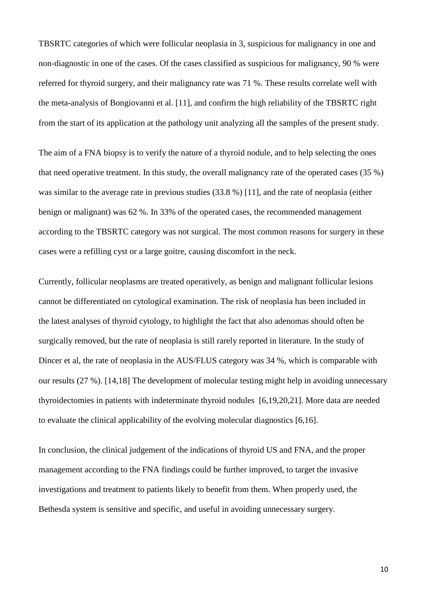TBSRTC categories of which were follicular neoplasia in 3, suspicious for malignancy in one and non-diagnostic in one of the cases. Of the cases classified as suspicious for malignancy, 90 % were referred for thyroid surgery, and their malignancy rate was 71 %. These results correlate well with the meta-analysis of Bongiovanni et al. [11], and confirm the high reliability of the TBSRTC right from the start of its application at the pathology unit analyzing all the samples of the present study.

The aim of a FNA biopsy is to verify the nature of a thyroid nodule, and to help selecting the ones that need operative treatment. In this study, the overall malignancy rate of the operated cases (35 %) was similar to the average rate in previous studies (33.8 %) [11], and the rate of neoplasia (either benign or malignant) was 62 %. In 33% of the operated cases, the recommended management according to the TBSRTC category was not surgical. The most common reasons for surgery in these cases were a refilling cyst or a large goitre, causing discomfort in the neck.

Currently, follicular neoplasms are treated operatively, as benign and malignant follicular lesions cannot be differentiated on cytological examination. The risk of neoplasia has been included in the latest analyses of thyroid cytology, to highlight the fact that also adenomas should often be surgically removed, but the rate of neoplasia is still rarely reported in literature. In the study of Dincer et al, the rate of neoplasia in the AUS/FLUS category was 34 %, which is comparable with our results (27 %). [14,18] The development of molecular testing might help in avoiding unnecessary thyroidectomies in patients with indeterminate thyroid nodules [6,19,20,21]. More data are needed to evaluate the clinical applicability of the evolving molecular diagnostics [6,16].

In conclusion, the clinical judgement of the indications of thyroid US and FNA, and the proper management according to the FNA findings could be further improved, to target the invasive investigations and treatment to patients likely to benefit from them. When properly used, the Bethesda system is sensitive and specific, and useful in avoiding unnecessary surgery.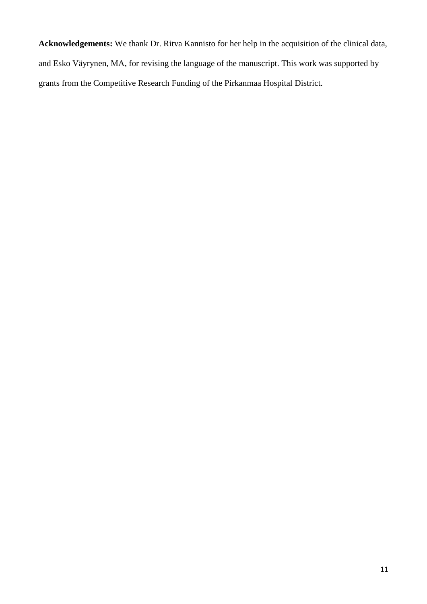**Acknowledgements:** We thank Dr. Ritva Kannisto for her help in the acquisition of the clinical data, and Esko Väyrynen, MA, for revising the language of the manuscript. This work was supported by grants from the Competitive Research Funding of the Pirkanmaa Hospital District.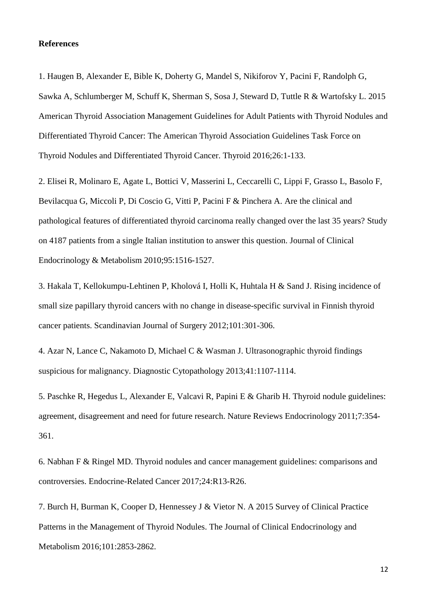## **References**

1. Haugen B, Alexander E, Bible K, Doherty G, Mandel S, Nikiforov Y, Pacini F, Randolph G, Sawka A, Schlumberger M, Schuff K, Sherman S, Sosa J, Steward D, Tuttle R & Wartofsky L. 2015 American Thyroid Association Management Guidelines for Adult Patients with Thyroid Nodules and Differentiated Thyroid Cancer: The American Thyroid Association Guidelines Task Force on Thyroid Nodules and Differentiated Thyroid Cancer. Thyroid 2016;26:1-133.

2. Elisei R, Molinaro E, Agate L, Bottici V, Masserini L, Ceccarelli C, Lippi F, Grasso L, Basolo F, Bevilacqua G, Miccoli P, Di Coscio G, Vitti P, Pacini F & Pinchera A. Are the clinical and pathological features of differentiated thyroid carcinoma really changed over the last 35 years? Study on 4187 patients from a single Italian institution to answer this question. Journal of Clinical Endocrinology & Metabolism 2010;95:1516-1527.

3. Hakala T, Kellokumpu-Lehtinen P, Kholová I, Holli K, Huhtala H & Sand J. Rising incidence of small size papillary thyroid cancers with no change in disease-specific survival in Finnish thyroid cancer patients. Scandinavian Journal of Surgery 2012;101:301-306.

4. Azar N, Lance C, Nakamoto D, Michael C & Wasman J. Ultrasonographic thyroid findings suspicious for malignancy. Diagnostic Cytopathology 2013;41:1107-1114.

5. Paschke R, Hegedus L, Alexander E, Valcavi R, Papini E & Gharib H. Thyroid nodule guidelines: agreement, disagreement and need for future research. Nature Reviews Endocrinology 2011;7:354- 361.

6. Nabhan F & Ringel MD. Thyroid nodules and cancer management guidelines: comparisons and controversies. Endocrine-Related Cancer 2017;24:R13-R26.

7. Burch H, Burman K, Cooper D, Hennessey J & Vietor N. A 2015 Survey of Clinical Practice Patterns in the Management of Thyroid Nodules. The Journal of Clinical Endocrinology and Metabolism 2016;101:2853-2862.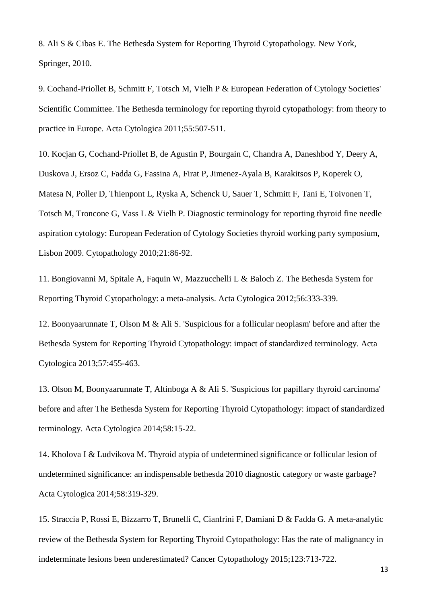8. Ali S & Cibas E. The Bethesda System for Reporting Thyroid Cytopathology*.* New York, Springer, 2010.

9. Cochand-Priollet B, Schmitt F, Totsch M, Vielh P & European Federation of Cytology Societies' Scientific Committee. The Bethesda terminology for reporting thyroid cytopathology: from theory to practice in Europe. Acta Cytologica 2011;55:507-511.

10. Kocjan G, Cochand-Priollet B, de Agustin P, Bourgain C, Chandra A, Daneshbod Y, Deery A, Duskova J, Ersoz C, Fadda G, Fassina A, Firat P, Jimenez-Ayala B, Karakitsos P, Koperek O, Matesa N, Poller D, Thienpont L, Ryska A, Schenck U, Sauer T, Schmitt F, Tani E, Toivonen T, Totsch M, Troncone G, Vass L & Vielh P. Diagnostic terminology for reporting thyroid fine needle aspiration cytology: European Federation of Cytology Societies thyroid working party symposium, Lisbon 2009. Cytopathology 2010;21:86-92.

11. Bongiovanni M, Spitale A, Faquin W, Mazzucchelli L & Baloch Z. The Bethesda System for Reporting Thyroid Cytopathology: a meta-analysis. Acta Cytologica 2012;56:333-339.

12. Boonyaarunnate T, Olson M & Ali S. 'Suspicious for a follicular neoplasm' before and after the Bethesda System for Reporting Thyroid Cytopathology: impact of standardized terminology. Acta Cytologica 2013;57:455-463.

13. Olson M, Boonyaarunnate T, Altinboga A & Ali S. 'Suspicious for papillary thyroid carcinoma' before and after The Bethesda System for Reporting Thyroid Cytopathology: impact of standardized terminology. Acta Cytologica 2014;58:15-22.

14. Kholova I & Ludvikova M. Thyroid atypia of undetermined significance or follicular lesion of undetermined significance: an indispensable bethesda 2010 diagnostic category or waste garbage? Acta Cytologica 2014;58:319-329.

15. Straccia P, Rossi E, Bizzarro T, Brunelli C, Cianfrini F, Damiani D & Fadda G. A meta-analytic review of the Bethesda System for Reporting Thyroid Cytopathology: Has the rate of malignancy in indeterminate lesions been underestimated? Cancer Cytopathology 2015;123:713-722.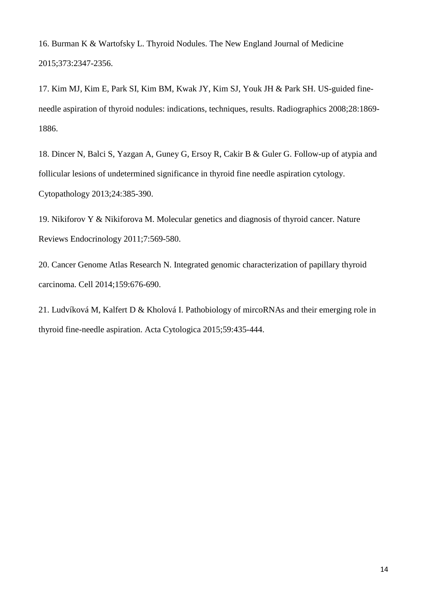16. Burman K & Wartofsky L. Thyroid Nodules. The New England Journal of Medicine 2015;373:2347-2356.

17. Kim MJ, Kim E, Park SI, Kim BM, Kwak JY, Kim SJ, Youk JH & Park SH. US-guided fineneedle aspiration of thyroid nodules: indications, techniques, results. Radiographics 2008;28:1869- 1886.

18. Dincer N, Balci S, Yazgan A, Guney G, Ersoy R, Cakir B & Guler G. Follow-up of atypia and follicular lesions of undetermined significance in thyroid fine needle aspiration cytology. Cytopathology 2013;24:385-390.

19. Nikiforov Y & Nikiforova M. Molecular genetics and diagnosis of thyroid cancer. Nature Reviews Endocrinology 2011;7:569-580.

20. Cancer Genome Atlas Research N. Integrated genomic characterization of papillary thyroid carcinoma. Cell 2014;159:676-690.

21. Ludvíková M, Kalfert D & Kholová I. Pathobiology of mircoRNAs and their emerging role in thyroid fine-needle aspiration. Acta Cytologica 2015;59:435-444.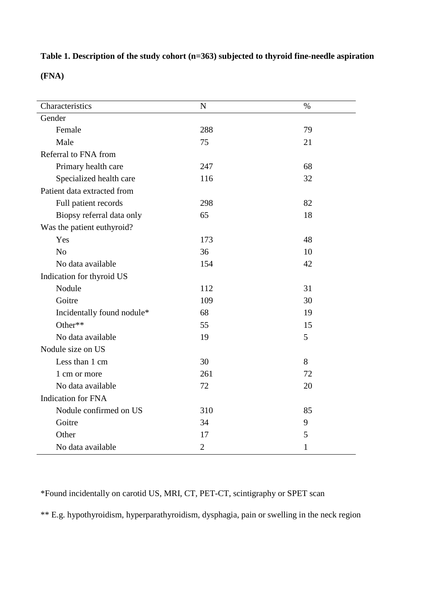**Table 1. Description of the study cohort (n=363) subjected to thyroid fine-needle aspiration** 

**(FNA)**

| Characteristics             | $\mathbf N$    | $\%$         |
|-----------------------------|----------------|--------------|
| Gender                      |                |              |
| Female                      | 288            | 79           |
| Male                        | 75             | 21           |
| Referral to FNA from        |                |              |
| Primary health care         | 247            | 68           |
| Specialized health care     | 116            | 32           |
| Patient data extracted from |                |              |
| Full patient records        | 298            | 82           |
| Biopsy referral data only   | 65             | 18           |
| Was the patient euthyroid?  |                |              |
| Yes                         | 173            | 48           |
| N <sub>o</sub>              | 36             | 10           |
| No data available           | 154            | 42           |
| Indication for thyroid US   |                |              |
| Nodule                      | 112            | 31           |
| Goitre                      | 109            | 30           |
| Incidentally found nodule*  | 68             | 19           |
| Other**                     | 55             | 15           |
| No data available           | 19             | 5            |
| Nodule size on US           |                |              |
| Less than 1 cm              | 30             | 8            |
| 1 cm or more                | 261            | 72           |
| No data available           | 72             | 20           |
| <b>Indication for FNA</b>   |                |              |
| Nodule confirmed on US      | 310            | 85           |
| Goitre                      | 34             | 9            |
| Other                       | 17             | 5            |
| No data available           | $\overline{2}$ | $\mathbf{1}$ |

\*Found incidentally on carotid US, MRI, CT, PET-CT, scintigraphy or SPET scan

\*\* E.g. hypothyroidism, hyperparathyroidism, dysphagia, pain or swelling in the neck region